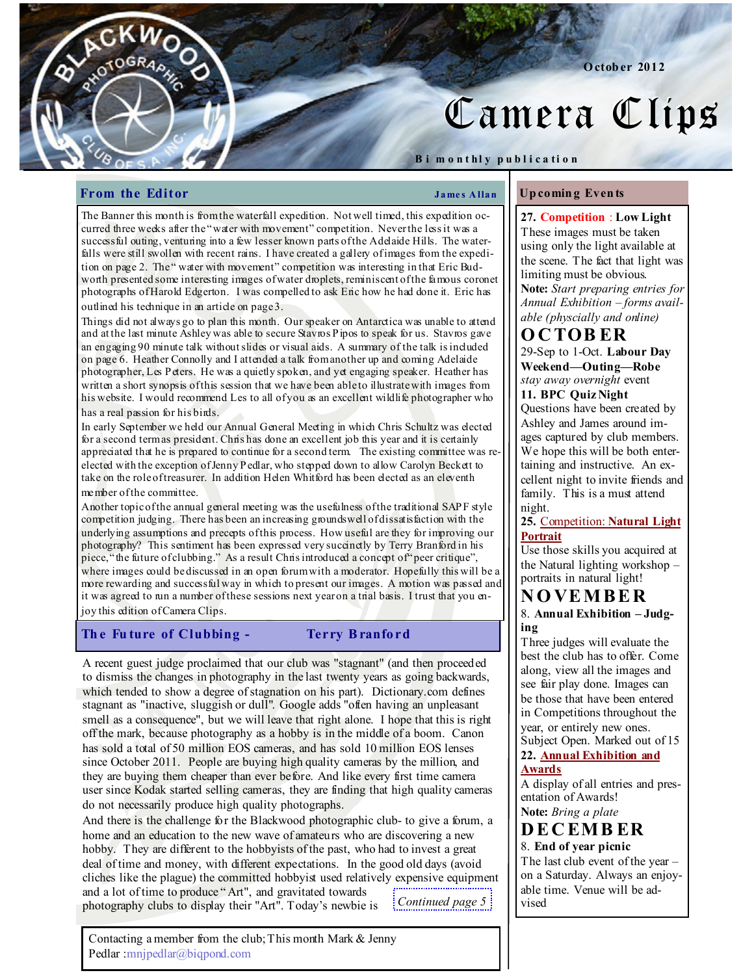# Camera Clips

Octob er 2012

### Bi m on thly publication

## From the Editor Theorem 2008 Shapes Allan

 $C$ KW

OGR<sub>40</sub>

Up comin g Even ts

The Banner this month is from the waterfall expedition. Not well timed, this expedition occurred three weeks after the "water with movement" competition. Never the less it was a successful outing, venturing into a few lesser known parts of the Adelaide Hills. The waterfalls were still swollen with recent rains. I have created a gallery of images from the expedition on page 2. The " water with movement" competition was interesting in that Eric Budworth presented some interesting images of water droplets, reminiscent of the famous coronet photographs of Harold Edgerton. I was compelled to ask Eric how he had done it. Eric has outlined his technique in an article on page 3.

Things did not always go to plan this month. Our speaker on Antarctica was unable to attend and at the last minute Ashley was able to secure Stavros Pipos to speak for us. Stavros gave an engaging 90 minute talk without slides or visual aids. A summary of the talk is included on page 6. Heather Connolly and I attended a talk from another up and coming Adelaide photographer, Les Peters. He was a quietly spoken, and yet engaging speaker. Heather has written a short synopsis of this session that we have been able to illustrate with images from his website. I would recommend Les to all of you as an excellent wildlife photographer who has a real passion for his birds.

In early September we held our Annual General Meeting in which Chris Schultz was elected for a second term as president. Chris has done an excellent job this year and it is certainly appreciated that he is prepared to continue for a second term. The existing committee was reelected with the exception of Jenny Pedlar, who stepped down to allow Carolyn Beckett to take on the role of treasurer. In addition Helen Whitford has been elected as an eleventh member of the committee.

Another topic of the annual general meeting was the usefulness of the traditional SAPF style competition judging. There has been an increasing groundswell of dissatisfaction with the underlying assumptions and precepts of this process. How useful are they for improving our photography? This sentiment has been expressed very succinctly by Terry Branford in his piece, "the future of clubbing." As a result Chris introduced a concept of "peer critique", where images could be discussed in an open forum with a moderator. Hopefully this will be a more rewarding and successful way in which to present our images. A motion was passed and it was agreed to run a number of these sessions next year on a trial basis. I trust that you enjoy this edition of Camera Clips.

# The Future of Clubbing - Terry Branford

A recent guest judge proclaimed that our club was "stagnant" (and then proceeded to dismiss the changes in photography in the last twenty years as going backwards, which tended to show a degree of stagnation on his part). Dictionary.com defines stagnant as "inactive, sluggish or dull". Google adds "often having an unpleasant smell as a consequence", but we will leave that right alone. I hope that this is right off the mark, because photography as a hobby is in the middle of a boom. Canon has sold a total of 50 million EOS cameras, and has sold 10 million EOS lenses since October 2011. People are buying high quality cameras by the million, and they are buying them cheaper than ever before. And like every first time camera user since Kodak started selling cameras, they are finding that high quality cameras do not necessarily produce high quality photographs.

And there is the challenge for the Blackwood photographic club- to give a forum, a home and an education to the new wave of amateurs who are discovering a new hobby. They are different to the hobbyists of the past, who had to invest a great deal of time and money, with different expectations. In the good old days (avoid cliches like the plague) the committed hobbyist used relatively expensive equipment and a lot of time to produce " Art", and gravitated towards photography clubs to display their "Art". Today's newbie is Continued page 5

Contacting a member from the club; This month Mark & Jenny Pedlar :mnjpedlar@biqpond.com

27. Competition : Low Light These images must be taken using only the light available at the scene. The fact that light was limiting must be obvious. Note: Start preparing entries for

Annual Exhibition – forms available (physcially and online)

# **OCTOBER**

29-Sep to 1-Oct. Labour Day Weekend—Outing—Robe stay away overnight event 11. BPC Quiz Night Questions have been created by Ashley and James around im-

ages captured by club members. We hope this will be both entertaining and instructive. An excellent night to invite friends and family. This is a must attend night.

## 25. Competition: Natural Light Portrait

Use those skills you acquired at the Natural lighting workshop – portraits in natural light!

# N O VE M B E R

8. Annual Exhibition – Judging

Three judges will evaluate the best the club has to offer. Come along, view all the images and see fair play done. Images can be those that have been entered in Competitions throughout the year, or entirely new ones. Subject Open. Marked out of 15

# 22. Annual Exhibition and Awards

A display of all entries and presentation of Awards! Note: Bring a plate

# **DECEMBER** 8. End of year picnic

The last club event of the year – on a Saturday. Always an enjoyable time. Venue will be advised.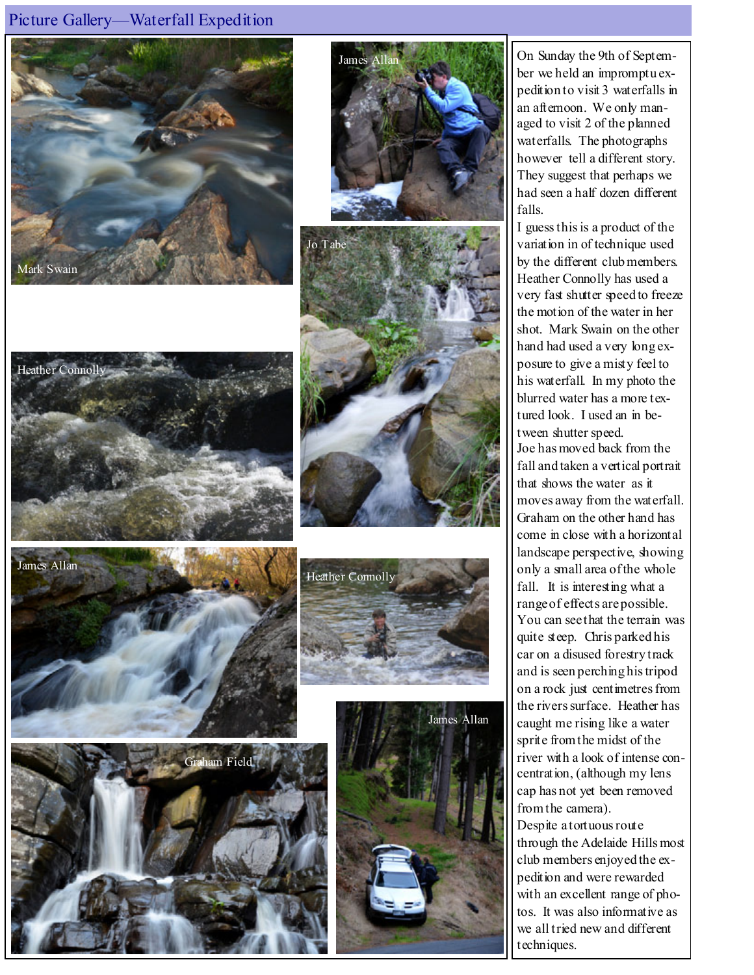# Picture Gallery—Waterfall Expedition

















On Sunday the 9th of September we held an impromptu expedition to visit 3 waterfalls in an afternoon. We only managed to visit 2 of the planned waterfalls. The photographs however tell a different story. They suggest that perhaps we had seen a half dozen different falls.

I guess this is a product of the variation in of technique used by the different club members. Heather Connolly has used a very fast shutter speed to freeze the motion of the water in her shot. Mark Swain on the other hand had used a very long exposure to give a misty feel to his waterfall. In my photo the blurred water has a more textured look. I used an in between shutter speed. Joe has moved back from the fall and taken a vertical portrait that shows the water as it moves away from the waterfall. Graham on the other hand has come in close with a horizontal landscape perspective, showing only a small area of the whole fall. It is interesting what a range of effects are possible. You can see that the terrain was quite steep. Chris parked his car on a disused forestry track and is seen perching his tripod on a rock just centimetres from the rivers surface. Heather has caught me rising like a water sprite from the midst of the river with a look of intense concentration, (although my lens cap has not yet been removed from the camera).

Despite a tortuous route through the Adelaide Hills most club members enjoyed the expedition and were rewarded with an excellent range of photos. It was also informative as we all tried new and different techniques.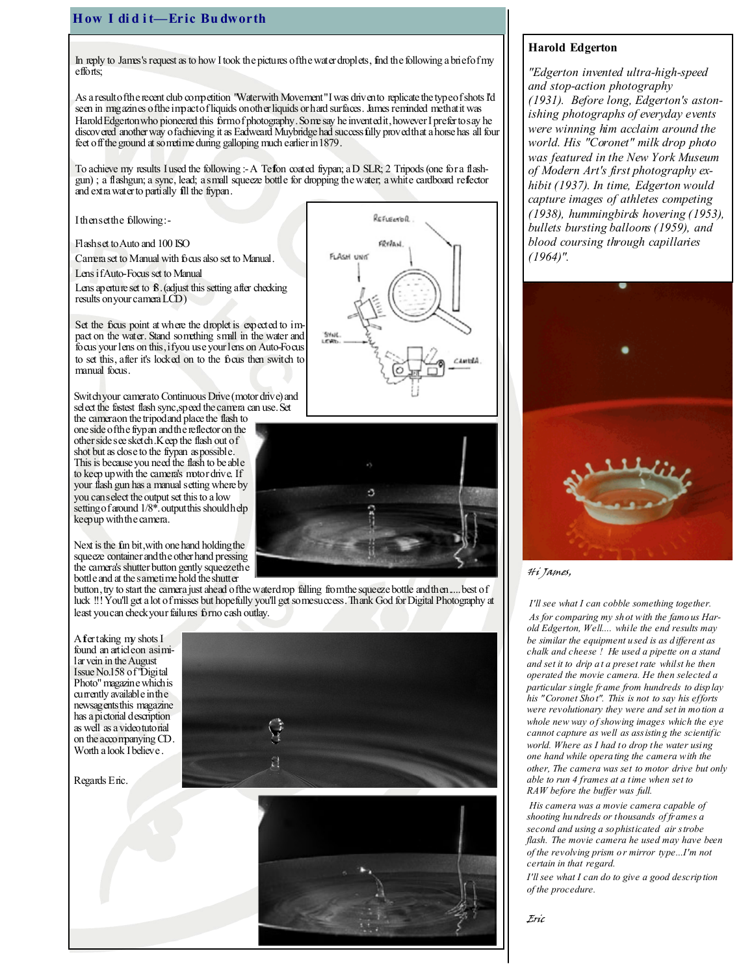# How I did it-Eric Budworth

In reply to James's request as to how I took the pictures of the water droplets, find the following a brief of my  $effo$   $\hat{r}$ s;

As a result of the recent club competition "Water with Movement" I was driven to replicate the type of shots I'd seen in magazines of the impact of liquids on other liquids or hard surfaces. James reminded methat it was Harold Edgerton who pioneered this form of photography. Some say he invented it, however I prefer to say he discovered another way of achieving it as Eadweard Muybridge had successfully proved that a horse has all four feet off the ground at sometime during galloping much earlier in 1879.

To achieve my results I used the following :- A Tefon coated frypan; a D SLR; 2 Tripods (one for a flashgun) ; a flashgun; a sync, lead; a small squeeze bottle for dropping the water; a white cardboard reflector and extra water to partially fill the frypan.

I then set the following :-

Flash set to Auto and 100 ISO

Camera set to Manual with focus also set to Manual.

Lens if Auto-Focus set to Manual

Lens aperture set to  $\mathcal B$ . (adjust this setting after checking results on your camera LCD)

Set the focus point at where the droplet is expected to impact on the water. Stand something small in the water and focus your lens on this, if you use your lens on Auto-Focus to set this, after it's locked on to the focus then switch to manual focus.

Switch your camerato Continuous Drive (motor drive) and select the fastest flash sync, speed the camera can use. Set

the camera on the tripod and place the flash to one side of the frypan and the reflector on the other side see sketch. Keep the flash out of shot but as close to the frypan as possible. This is because you need the flash to be able to keep up with the camera's motor drive. If your flash gun has a manual setting where by you can select the output set this to a low setting of around  $1/8^*$  output this should help keep up with the camera.

Next is the fun bit, with one hand holding the squeeze container and the other hand pressing the camera's shutter button gently squeeze the bottle and at the same time hold the shutter

button, try to start the camera just ahead of the waterdrop falling from the squeeze bottle and then.... best of luck !!! You'll get a lot of misses but hopefully you'll get some success. Thank God for Digital Photography at least you can check your failures for no cash outlay.

A fer taking my shots I found an article on a similar vein in the August Issue No.158 of "Digital Photo" magazine which is currently available in the newsagents this magazine has a pictorial description as well as a video tutorial on the accompanying CD. Worth a look I believe.



Regards Eric.





### Harold Edgerton

"Edgerton invented ultra-high-speed and stop-action photography (1931). Before long, Edgerton's astonishing photographs of everyday events were winning him acclaim around the world. His "Coronet" milk drop photo was featured in the New York Museum of Modern Art's first photography exhibit (1937). In time, Edgerton would capture images of athletes competing (1938), hummingbirds hovering (1953), bullets bursting balloons (1959), and blood coursing through capillaries  $(1964)$ ".



Hi James,

 I'll see what I can cobble something together. As for comparing my sh ot with the famo us Harold Edgerton, Well.... while the end results may be similar the equipment u sed is as d ifferent as chalk and cheese ! He used a pipette on a stand and set it to drip a t a preset rate whilst he then operated the movie camera. He then selected a particular single frame from hundreds to disp lay his "Coronet Sho t". This is not to say his efforts were revolutionary they were and set in mo tion a whole new way of showing images which the eye cannot capture as well as assistin g the scientific world. Where as I had to drop the water using one hand while opera ting the camera with the other, The camera was set to motor drive but only able to run 4 frames at a time when set to RAW before the buffer was full.

 His camera was a movie camera capable of shooting hu ndreds or thousands of frames a second and using a so phisticated air strobe flash. The movie camera he used may have been of the revolving prism o r mirror type...I'm not certain in that regard.

I'll see what I can do to give a good descrip tion of the procedure.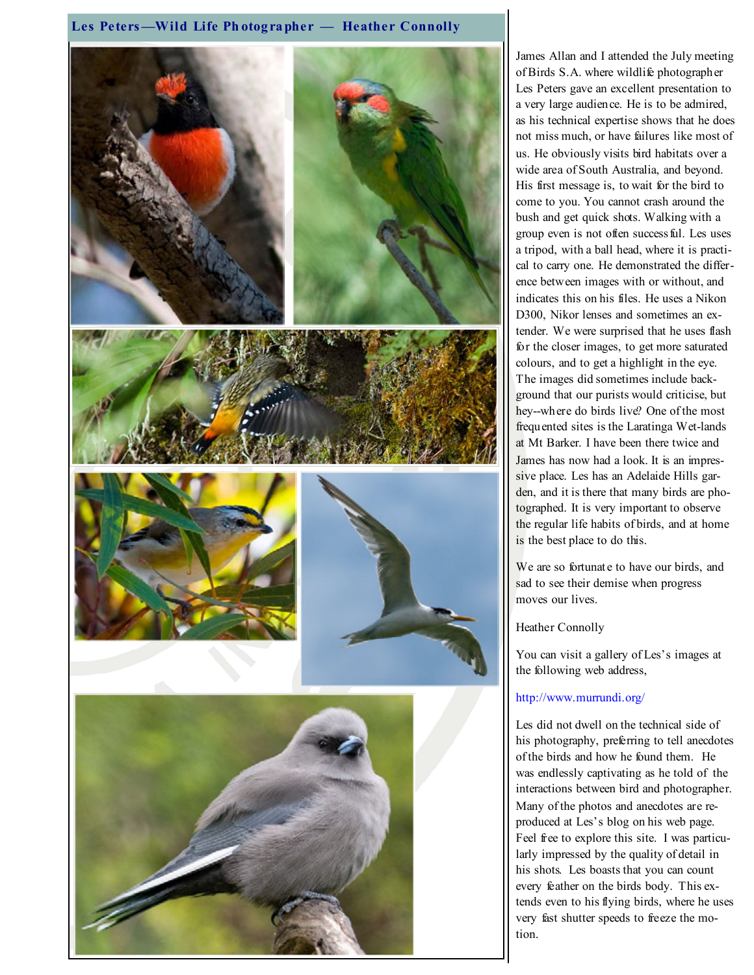## Les Peters-Wild Life Photographer - Heather Connolly



James Allan and I attended the July meeting of Birds S.A. where wildlife photographer Les Peters gave an excellent presentation to a very large audience. He is to be admired, as his technical expertise shows that he does not miss much, or have failures like most of us. He obviously visits bird habitats over a wide area of South Australia, and beyond. His first message is, to wait for the bird to come to you. You cannot crash around the bush and get quick shots. Walking with a group even is not often successful. Les uses a tripod, with a ball head, where it is practical to carry one. He demonstrated the difference between images with or without, and indicates this on his files. He uses a Nikon D300, Nikor lenses and sometimes an extender. We were surprised that he uses flash for the closer images, to get more saturated colours, and to get a highlight in the eye. The images did sometimes include background that our purists would criticise, but hey--where do birds live? One of the most frequented sites is the Laratinga Wet-lands at Mt Barker. I have been there twice and James has now had a look. It is an impressive place. Les has an Adelaide Hills garden, and it is there that many birds are photographed. It is very important to observe the regular life habits of birds, and at home is the best place to do this.

We are so fortunate to have our birds, and sad to see their demise when progress moves our lives.

Heather Connolly

You can visit a gallery of Les's images at the following web address,

# http://www.murrundi.org/

Les did not dwell on the technical side of his photography, preferring to tell anecdotes of the birds and how he found them. He was endlessly captivating as he told of the interactions between bird and photographer. Many of the photos and anecdotes are reproduced at Les's blog on his web page. Feel free to explore this site. I was particularly impressed by the quality of detail in his shots. Les boasts that you can count every feather on the birds body. This extends even to his flying birds, where he uses very fast shutter speeds to freeze the motion.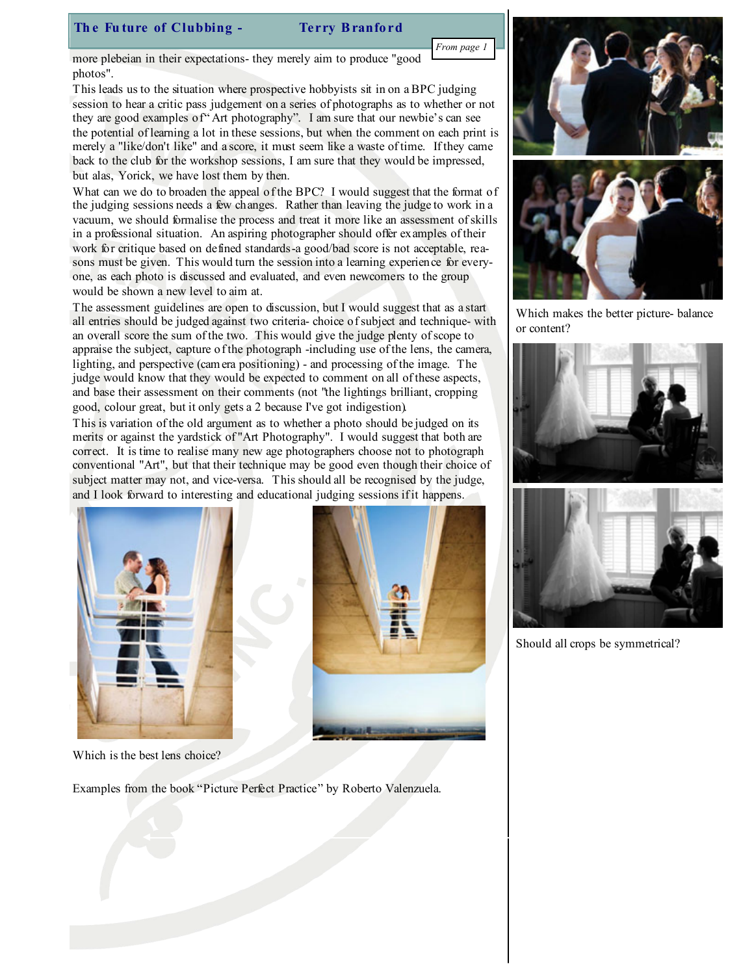# The Future of Clubbing - Terry Branford

more plebeian in their expectations- they merely aim to produce "good photos".

This leads us to the situation where prospective hobbyists sit in on a BPC judging session to hear a critic pass judgement on a series of photographs as to whether or not they are good examples of "Art photography". I am sure that our newbie's can see the potential of learning a lot in these sessions, but when the comment on each print is merely a "like/don't like" and a score, it must seem like a waste of time. If they came back to the club for the workshop sessions, I am sure that they would be impressed, but alas, Yorick, we have lost them by then.

What can we do to broaden the appeal of the BPC? I would suggest that the format of the judging sessions needs a few changes. Rather than leaving the judge to work in a vacuum, we should formalise the process and treat it more like an assessment of skills in a professional situation. An aspiring photographer should offer examples of their work for critique based on defined standards-a good/bad score is not acceptable, reasons must be given. This would turn the session into a learning experience for everyone, as each photo is discussed and evaluated, and even newcomers to the group would be shown a new level to aim at.

The assessment guidelines are open to discussion, but I would suggest that as a start all entries should be judged against two criteria- choice of subject and technique- with an overall score the sum of the two. This would give the judge plenty of scope to appraise the subject, capture of the photograph -including use of the lens, the camera, lighting, and perspective (camera positioning) - and processing of the image. The judge would know that they would be expected to comment on all of these aspects, and base their assessment on their comments (not "the lightings brilliant, cropping good, colour great, but it only gets a 2 because I've got indigestion).

This is variation of the old argument as to whether a photo should be judged on its merits or against the yardstick of "Art Photography". I would suggest that both are correct. It is time to realise many new age photographers choose not to photograph conventional "Art", but that their technique may be good even though their choice of subject matter may not, and vice-versa. This should all be recognised by the judge, and I look forward to interesting and educational judging sessions if it happens.





Which makes the better picture- balance or content?





Should all crops be symmetrical?

Which is the best lens choice?

Examples from the book "Picture Perfect Practice" by Roberto Valenzuela.